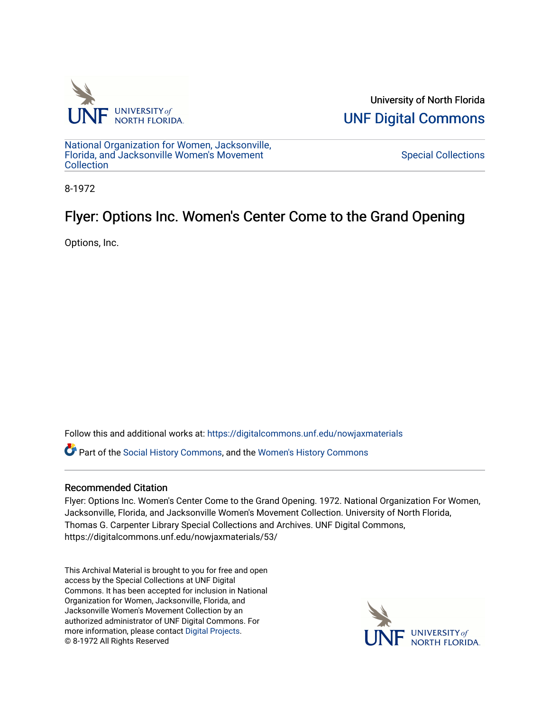

University of North Florida [UNF Digital Commons](https://digitalcommons.unf.edu/) 

[National Organization for Women, Jacksonville,](https://digitalcommons.unf.edu/nowjaxmaterials) [Florida, and Jacksonville Women's Movement](https://digitalcommons.unf.edu/nowjaxmaterials) [Collection](https://digitalcommons.unf.edu/nowjaxmaterials) 

[Special Collections](https://digitalcommons.unf.edu/special_collections) 

8-1972

## Flyer: Options Inc. Women's Center Come to the Grand Opening

Options, Inc.

Follow this and additional works at: [https://digitalcommons.unf.edu/nowjaxmaterials](https://digitalcommons.unf.edu/nowjaxmaterials?utm_source=digitalcommons.unf.edu%2Fnowjaxmaterials%2F53&utm_medium=PDF&utm_campaign=PDFCoverPages) 

Part of the [Social History Commons](http://network.bepress.com/hgg/discipline/506?utm_source=digitalcommons.unf.edu%2Fnowjaxmaterials%2F53&utm_medium=PDF&utm_campaign=PDFCoverPages), and the [Women's History Commons](http://network.bepress.com/hgg/discipline/507?utm_source=digitalcommons.unf.edu%2Fnowjaxmaterials%2F53&utm_medium=PDF&utm_campaign=PDFCoverPages)

## Recommended Citation

Flyer: Options Inc. Women's Center Come to the Grand Opening. 1972. National Organization For Women, Jacksonville, Florida, and Jacksonville Women's Movement Collection. University of North Florida, Thomas G. Carpenter Library Special Collections and Archives. UNF Digital Commons, https://digitalcommons.unf.edu/nowjaxmaterials/53/

This Archival Material is brought to you for free and open access by the Special Collections at UNF Digital Commons. It has been accepted for inclusion in National Organization for Women, Jacksonville, Florida, and Jacksonville Women's Movement Collection by an authorized administrator of UNF Digital Commons. For more information, please contact [Digital Projects](mailto:lib-digital@unf.edu). © 8-1972 All Rights Reserved